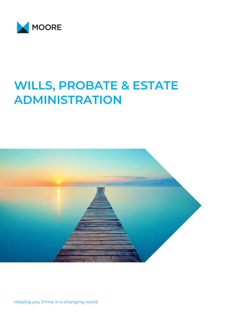

# **WILLS, PROBATE & ESTATE ADMINISTRATION**



Helping you thrive in a changing world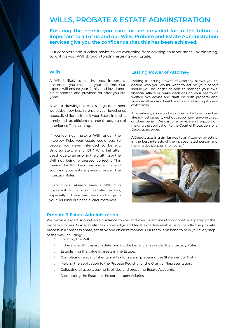### **WILLS, PROBATE & ESTATE ADMINSTRATION**

**Ensuring the people you care for are provided for in the future is important to all of us and our Wills, Probate and Estate Administration services give you the confidence that this has been achieved.** 

Our complete and succinct service covers everything from advising on Inheritance Tax planning, to writing your Will, through to administering your Estate.

#### **Wills**

A Will is likely to be the most important document you make in your lifetime. Our experts will ensure your family and loved ones are supported and provided for after you are gone.

As well as drawing up a concise, legal document, we advise how best to ensure your loved ones, especially children, inherit your Estate in both a timely and tax-efficient manner through useof Inheritance Tax planning.

If you do not make a Will, under the Intestacy Rules your estate could pass to people you never intended to benefit. Unfortunately, many 'DIY' Wills fail after death due to an error in the drafting or the Will not being witnessed correctly. This means the Will becomes ineffective and you risk your estate passing under the Intestacy Rules.

Even if you already have a Will it is important to carry out regular reviews, especially if there has been a change in your personal or financial circumstances.

#### **Lasting Power of Attorney**

Making a Lasting Power of Attorney allows you to decide who you would want to act on your behalf should you no longer be able to manage your own financial affairs or make decisions on your health or welfare. We advise and draft on both property and financial affairs, and health and welfare Lasting Powers of Attorney.

Alternatively, you may be concerned a loved one has already lost capacity without appointing anyone to act on their behalf. We can offer advice and support on making the application to the Court of Protection for a Deputyship order.

A Deputy acts in a similar way to an Attorney by acting in the best interests of the incapacitated person and making decisions on their behalf.



#### **Probate & Estate Administration**

We provide expert support and guidance to you and your loved ones throughout every step of the probate process. Our specialist tax knowledge and legal expertise enable us to handle the probate process in a compassionate, sensitive and efficient manner. Our team is on hand to help you every step of the way, including:

- Locating the Will;
- $\theta$  If there is no Will, assist in determining the beneficiaries under the Intestacy Rules;
- **O** Establishing the value of assets in the Estate;
- 0 Completing relevant Inheritance Tax forms and preparing the Statement of Truth;
- 0 Making the application to the Probate Registry for the Grant of Representation:
- o Collecting all assets, paying liabilities and preparing Estate Accounts;
- Distributing the Estate to the correct beneficiaries